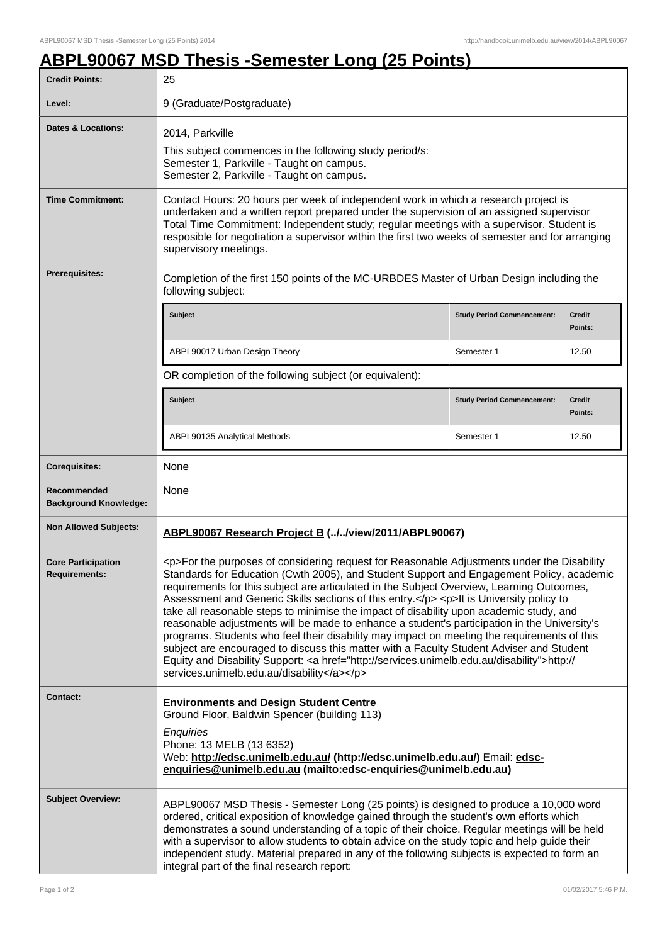## **ABPL90067 MSD Thesis -Semester Long (25 Points)**

| <b>Credit Points:</b>                             | 25                                                                                                                                                                                                                                                                                                                                                                                                                                                                                                                                                                                                                                                                                                                                                                                                                                                                                                                           |                                   |                          |  |
|---------------------------------------------------|------------------------------------------------------------------------------------------------------------------------------------------------------------------------------------------------------------------------------------------------------------------------------------------------------------------------------------------------------------------------------------------------------------------------------------------------------------------------------------------------------------------------------------------------------------------------------------------------------------------------------------------------------------------------------------------------------------------------------------------------------------------------------------------------------------------------------------------------------------------------------------------------------------------------------|-----------------------------------|--------------------------|--|
| Level:                                            | 9 (Graduate/Postgraduate)                                                                                                                                                                                                                                                                                                                                                                                                                                                                                                                                                                                                                                                                                                                                                                                                                                                                                                    |                                   |                          |  |
| <b>Dates &amp; Locations:</b>                     | 2014, Parkville<br>This subject commences in the following study period/s:<br>Semester 1, Parkville - Taught on campus.<br>Semester 2, Parkville - Taught on campus.                                                                                                                                                                                                                                                                                                                                                                                                                                                                                                                                                                                                                                                                                                                                                         |                                   |                          |  |
| <b>Time Commitment:</b>                           | Contact Hours: 20 hours per week of independent work in which a research project is<br>undertaken and a written report prepared under the supervision of an assigned supervisor<br>Total Time Commitment: Independent study; regular meetings with a supervisor. Student is<br>resposible for negotiation a supervisor within the first two weeks of semester and for arranging<br>supervisory meetings.                                                                                                                                                                                                                                                                                                                                                                                                                                                                                                                     |                                   |                          |  |
| Prerequisites:                                    | Completion of the first 150 points of the MC-URBDES Master of Urban Design including the<br>following subject:                                                                                                                                                                                                                                                                                                                                                                                                                                                                                                                                                                                                                                                                                                                                                                                                               |                                   |                          |  |
|                                                   | <b>Subject</b>                                                                                                                                                                                                                                                                                                                                                                                                                                                                                                                                                                                                                                                                                                                                                                                                                                                                                                               | <b>Study Period Commencement:</b> | <b>Credit</b><br>Points: |  |
|                                                   | ABPL90017 Urban Design Theory                                                                                                                                                                                                                                                                                                                                                                                                                                                                                                                                                                                                                                                                                                                                                                                                                                                                                                | Semester 1                        | 12.50                    |  |
|                                                   | OR completion of the following subject (or equivalent):                                                                                                                                                                                                                                                                                                                                                                                                                                                                                                                                                                                                                                                                                                                                                                                                                                                                      |                                   |                          |  |
|                                                   | Subject                                                                                                                                                                                                                                                                                                                                                                                                                                                                                                                                                                                                                                                                                                                                                                                                                                                                                                                      | <b>Study Period Commencement:</b> | <b>Credit</b><br>Points: |  |
|                                                   | ABPL90135 Analytical Methods                                                                                                                                                                                                                                                                                                                                                                                                                                                                                                                                                                                                                                                                                                                                                                                                                                                                                                 | Semester 1                        | 12.50                    |  |
| <b>Corequisites:</b>                              | None                                                                                                                                                                                                                                                                                                                                                                                                                                                                                                                                                                                                                                                                                                                                                                                                                                                                                                                         |                                   |                          |  |
| Recommended<br><b>Background Knowledge:</b>       | None                                                                                                                                                                                                                                                                                                                                                                                                                                                                                                                                                                                                                                                                                                                                                                                                                                                                                                                         |                                   |                          |  |
| <b>Non Allowed Subjects:</b>                      | ABPL90067 Research Project B (//view/2011/ABPL90067)                                                                                                                                                                                                                                                                                                                                                                                                                                                                                                                                                                                                                                                                                                                                                                                                                                                                         |                                   |                          |  |
| <b>Core Participation</b><br><b>Requirements:</b> | <p>For the purposes of considering request for Reasonable Adjustments under the Disability<br/>Standards for Education (Cwth 2005), and Student Support and Engagement Policy, academic<br/>requirements for this subject are articulated in the Subject Overview, Learning Outcomes,<br/>Assessment and Generic Skills sections of this entry.</p> <p>It is University policy to<br/>take all reasonable steps to minimise the impact of disability upon academic study, and<br/>reasonable adjustments will be made to enhance a student's participation in the University's<br/>programs. Students who feel their disability may impact on meeting the requirements of this<br/>subject are encouraged to discuss this matter with a Faculty Student Adviser and Student<br/>Equity and Disability Support: &lt; a href="http://services.unimelb.edu.au/disability"&gt;http://<br/>services.unimelb.edu.au/disability</p> |                                   |                          |  |
| <b>Contact:</b>                                   | <b>Environments and Design Student Centre</b><br>Ground Floor, Baldwin Spencer (building 113)<br>Enquiries<br>Phone: 13 MELB (13 6352)<br>Web: http://edsc.unimelb.edu.au/ (http://edsc.unimelb.edu.au/) Email: edsc-<br>enquiries@unimelb.edu.au (mailto:edsc-enquiries@unimelb.edu.au)                                                                                                                                                                                                                                                                                                                                                                                                                                                                                                                                                                                                                                     |                                   |                          |  |
| <b>Subject Overview:</b>                          | ABPL90067 MSD Thesis - Semester Long (25 points) is designed to produce a 10,000 word<br>ordered, critical exposition of knowledge gained through the student's own efforts which<br>demonstrates a sound understanding of a topic of their choice. Regular meetings will be held<br>with a supervisor to allow students to obtain advice on the study topic and help guide their<br>independent study. Material prepared in any of the following subjects is expected to form an<br>integral part of the final research report:                                                                                                                                                                                                                                                                                                                                                                                             |                                   |                          |  |